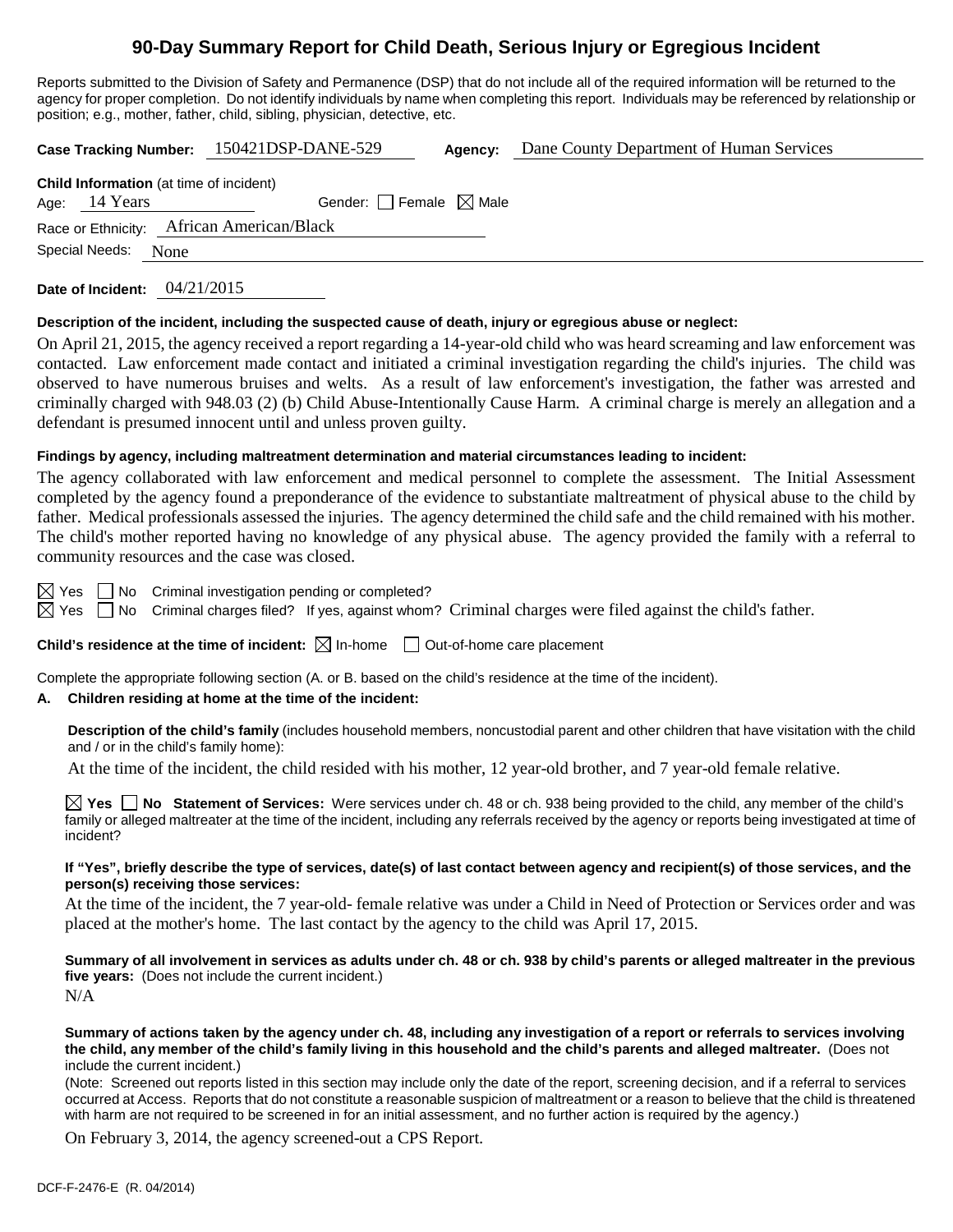# **90-Day Summary Report for Child Death, Serious Injury or Egregious Incident**

Reports submitted to the Division of Safety and Permanence (DSP) that do not include all of the required information will be returned to the agency for proper completion. Do not identify individuals by name when completing this report. Individuals may be referenced by relationship or position; e.g., mother, father, child, sibling, physician, detective, etc.

**Case Tracking Number:** 150421DSP-DANE-529 **Agency:** Dane County Department of Human Services

| <b>Child Information</b> (at time of incident) |                                                                              |
|------------------------------------------------|------------------------------------------------------------------------------|
| Age: $14$ Years                                |                                                                              |
|                                                |                                                                              |
| Special Needs: None                            |                                                                              |
|                                                | Gender: Female $\boxtimes$ Male<br>Race or Ethnicity: African American/Black |

**Date of Incident:** 04/21/2015

### **Description of the incident, including the suspected cause of death, injury or egregious abuse or neglect:**

On April 21, 2015, the agency received a report regarding a 14-year-old child who was heard screaming and law enforcement was contacted. Law enforcement made contact and initiated a criminal investigation regarding the child's injuries. The child was observed to have numerous bruises and welts. As a result of law enforcement's investigation, the father was arrested and criminally charged with 948.03 (2) (b) Child Abuse-Intentionally Cause Harm. A criminal charge is merely an allegation and a defendant is presumed innocent until and unless proven guilty.

### **Findings by agency, including maltreatment determination and material circumstances leading to incident:**

The agency collaborated with law enforcement and medical personnel to complete the assessment. The Initial Assessment completed by the agency found a preponderance of the evidence to substantiate maltreatment of physical abuse to the child by father. Medical professionals assessed the injuries. The agency determined the child safe and the child remained with his mother. The child's mother reported having no knowledge of any physical abuse. The agency provided the family with a referral to community resources and the case was closed.

 $\boxtimes$  Yes  $\Box$  No Criminal investigation pending or completed?

 $\boxtimes$  Yes  $\Box$  No Criminal charges filed? If yes, against whom? Criminal charges were filed against the child's father.

**Child's residence at the time of incident:**  $\boxtimes$  In-home  $\Box$  Out-of-home care placement

Complete the appropriate following section (A. or B. based on the child's residence at the time of the incident).

# **A. Children residing at home at the time of the incident:**

**Description of the child's family** (includes household members, noncustodial parent and other children that have visitation with the child and / or in the child's family home):

At the time of the incident, the child resided with his mother, 12 year-old brother, and 7 year-old female relative.

**Yes No Statement of Services:** Were services under ch. 48 or ch. 938 being provided to the child, any member of the child's family or alleged maltreater at the time of the incident, including any referrals received by the agency or reports being investigated at time of incident?

#### **If "Yes", briefly describe the type of services, date(s) of last contact between agency and recipient(s) of those services, and the person(s) receiving those services:**

At the time of the incident, the 7 year-old- female relative was under a Child in Need of Protection or Services order and was placed at the mother's home. The last contact by the agency to the child was April 17, 2015.

**Summary of all involvement in services as adults under ch. 48 or ch. 938 by child's parents or alleged maltreater in the previous five years:** (Does not include the current incident.) N/A

#### **Summary of actions taken by the agency under ch. 48, including any investigation of a report or referrals to services involving the child, any member of the child's family living in this household and the child's parents and alleged maltreater.** (Does not include the current incident.)

(Note: Screened out reports listed in this section may include only the date of the report, screening decision, and if a referral to services occurred at Access. Reports that do not constitute a reasonable suspicion of maltreatment or a reason to believe that the child is threatened with harm are not required to be screened in for an initial assessment, and no further action is required by the agency.)

On February 3, 2014, the agency screened-out a CPS Report.